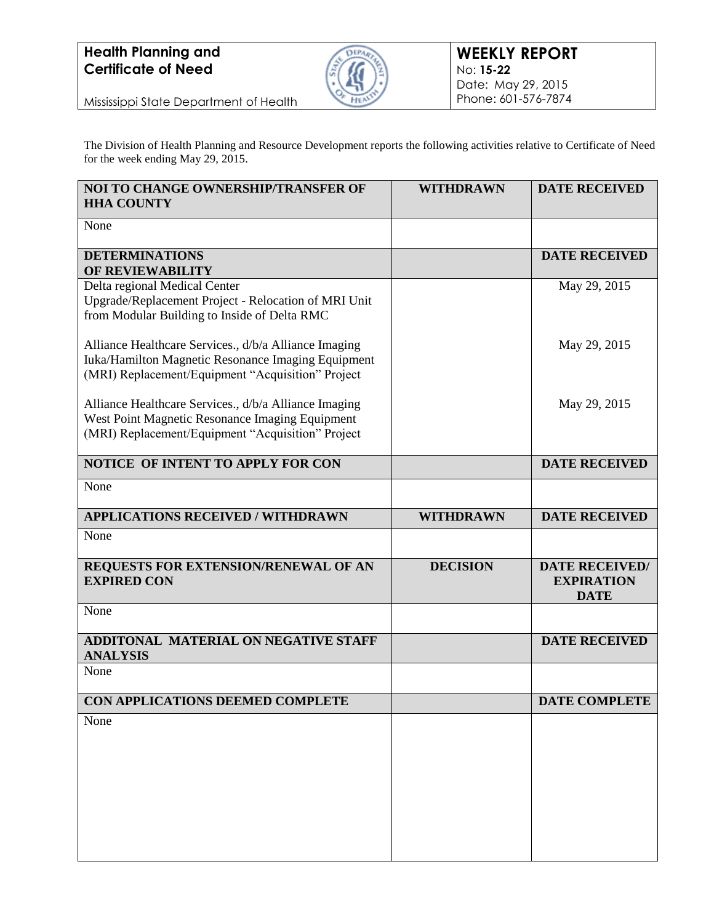## **Health Planning and Certificate of Need**



Mississippi State Department of Health

The Division of Health Planning and Resource Development reports the following activities relative to Certificate of Need for the week ending May 29, 2015.

| NOI TO CHANGE OWNERSHIP/TRANSFER OF<br><b>HHA COUNTY</b>                                                                                                         | <b>WITHDRAWN</b> | <b>DATE RECEIVED</b>                                      |
|------------------------------------------------------------------------------------------------------------------------------------------------------------------|------------------|-----------------------------------------------------------|
| None                                                                                                                                                             |                  |                                                           |
| <b>DETERMINATIONS</b><br>OF REVIEWABILITY                                                                                                                        |                  | <b>DATE RECEIVED</b>                                      |
| Delta regional Medical Center<br>Upgrade/Replacement Project - Relocation of MRI Unit<br>from Modular Building to Inside of Delta RMC                            |                  | May 29, 2015                                              |
| Alliance Healthcare Services., d/b/a Alliance Imaging<br>Iuka/Hamilton Magnetic Resonance Imaging Equipment<br>(MRI) Replacement/Equipment "Acquisition" Project |                  | May 29, 2015                                              |
| Alliance Healthcare Services., d/b/a Alliance Imaging<br>West Point Magnetic Resonance Imaging Equipment<br>(MRI) Replacement/Equipment "Acquisition" Project    |                  | May 29, 2015                                              |
| NOTICE OF INTENT TO APPLY FOR CON                                                                                                                                |                  | <b>DATE RECEIVED</b>                                      |
| None                                                                                                                                                             |                  |                                                           |
| <b>APPLICATIONS RECEIVED / WITHDRAWN</b>                                                                                                                         | <b>WITHDRAWN</b> | <b>DATE RECEIVED</b>                                      |
| None                                                                                                                                                             |                  |                                                           |
| REQUESTS FOR EXTENSION/RENEWAL OF AN<br><b>EXPIRED CON</b>                                                                                                       | <b>DECISION</b>  | <b>DATE RECEIVED/</b><br><b>EXPIRATION</b><br><b>DATE</b> |
| None                                                                                                                                                             |                  |                                                           |
| ADDITONAL MATERIAL ON NEGATIVE STAFF<br><b>ANALYSIS</b>                                                                                                          |                  | <b>DATE RECEIVED</b>                                      |
| None                                                                                                                                                             |                  |                                                           |
| CON APPLICATIONS DEEMED COMPLETE                                                                                                                                 |                  | <b>DATE COMPLETE</b>                                      |
| None                                                                                                                                                             |                  |                                                           |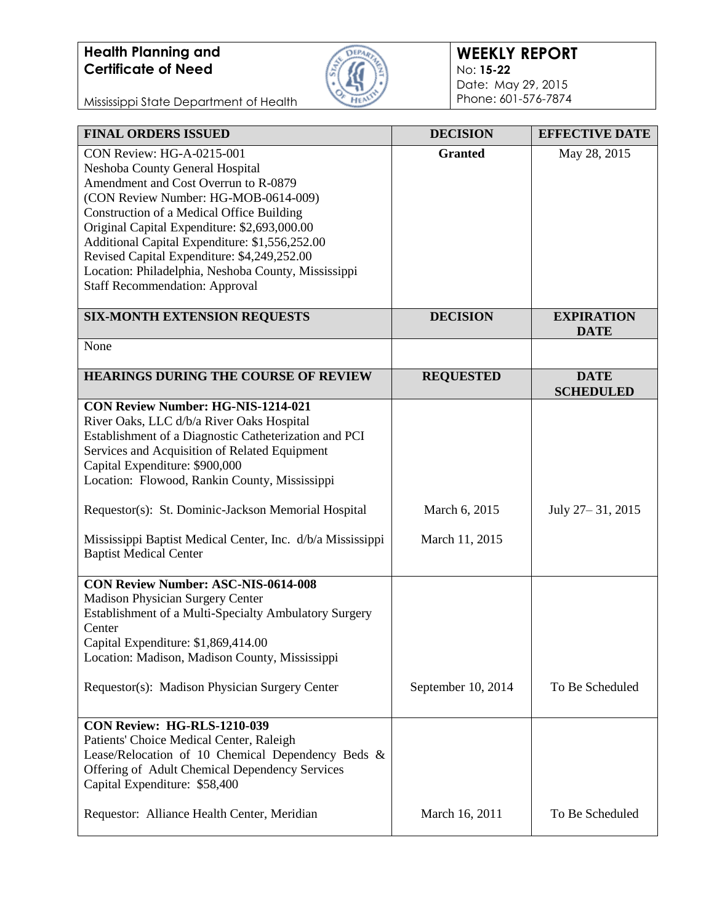# **Health Planning and Certificate of Need**



### **WEEKLY REPORT** No: **15-22** Date: May 29, 2015 Phone: 601-576-7874

Mississippi State Department of Health

| <b>FINAL ORDERS ISSUED</b>                                                                                                                                                                                                                                                          | <b>DECISION</b>    | <b>EFFECTIVE DATE</b>            |
|-------------------------------------------------------------------------------------------------------------------------------------------------------------------------------------------------------------------------------------------------------------------------------------|--------------------|----------------------------------|
| <b>CON Review: HG-A-0215-001</b><br>Neshoba County General Hospital<br>Amendment and Cost Overrun to R-0879<br>(CON Review Number: HG-MOB-0614-009)                                                                                                                                 | <b>Granted</b>     | May 28, 2015                     |
| Construction of a Medical Office Building<br>Original Capital Expenditure: \$2,693,000.00<br>Additional Capital Expenditure: \$1,556,252.00<br>Revised Capital Expenditure: \$4,249,252.00                                                                                          |                    |                                  |
| Location: Philadelphia, Neshoba County, Mississippi<br><b>Staff Recommendation: Approval</b>                                                                                                                                                                                        |                    |                                  |
| <b>SIX-MONTH EXTENSION REQUESTS</b>                                                                                                                                                                                                                                                 | <b>DECISION</b>    | <b>EXPIRATION</b><br><b>DATE</b> |
| None                                                                                                                                                                                                                                                                                |                    |                                  |
| <b>HEARINGS DURING THE COURSE OF REVIEW</b>                                                                                                                                                                                                                                         | <b>REQUESTED</b>   | <b>DATE</b><br><b>SCHEDULED</b>  |
| <b>CON Review Number: HG-NIS-1214-021</b><br>River Oaks, LLC d/b/a River Oaks Hospital<br>Establishment of a Diagnostic Catheterization and PCI<br>Services and Acquisition of Related Equipment<br>Capital Expenditure: \$900,000<br>Location: Flowood, Rankin County, Mississippi |                    |                                  |
| Requestor(s): St. Dominic-Jackson Memorial Hospital                                                                                                                                                                                                                                 | March 6, 2015      | July 27 – 31, 2015               |
| Mississippi Baptist Medical Center, Inc. d/b/a Mississippi<br><b>Baptist Medical Center</b>                                                                                                                                                                                         | March 11, 2015     |                                  |
| <b>CON Review Number: ASC-NIS-0614-008</b>                                                                                                                                                                                                                                          |                    |                                  |
| <b>Madison Physician Surgery Center</b><br>Establishment of a Multi-Specialty Ambulatory Surgery<br>Center                                                                                                                                                                          |                    |                                  |
| Capital Expenditure: \$1,869,414.00<br>Location: Madison, Madison County, Mississippi                                                                                                                                                                                               |                    |                                  |
| Requestor(s): Madison Physician Surgery Center                                                                                                                                                                                                                                      | September 10, 2014 | To Be Scheduled                  |
| CON Review: HG-RLS-1210-039<br>Patients' Choice Medical Center, Raleigh<br>Lease/Relocation of 10 Chemical Dependency Beds &<br>Offering of Adult Chemical Dependency Services<br>Capital Expenditure: \$58,400                                                                     |                    |                                  |
| Requestor: Alliance Health Center, Meridian                                                                                                                                                                                                                                         | March 16, 2011     | To Be Scheduled                  |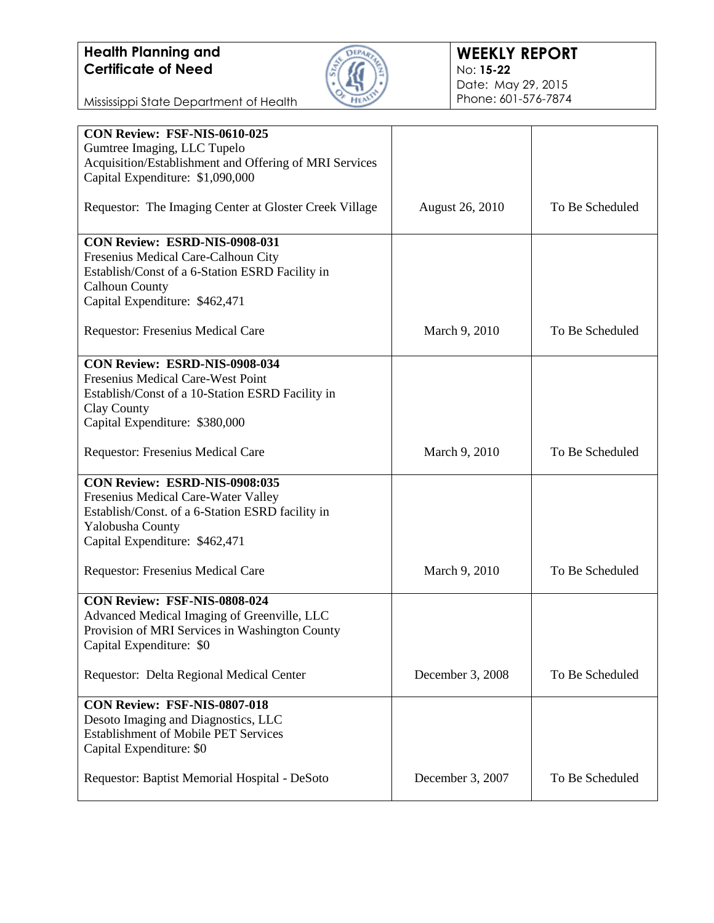

Mississippi State Department of Health

| CON Review: FSF-NIS-0610-025<br>Gumtree Imaging, LLC Tupelo                                   |                        |                 |
|-----------------------------------------------------------------------------------------------|------------------------|-----------------|
| Acquisition/Establishment and Offering of MRI Services<br>Capital Expenditure: \$1,090,000    |                        |                 |
| Requestor: The Imaging Center at Gloster Creek Village                                        | <b>August 26, 2010</b> | To Be Scheduled |
| CON Review: ESRD-NIS-0908-031<br>Fresenius Medical Care-Calhoun City                          |                        |                 |
| Establish/Const of a 6-Station ESRD Facility in<br><b>Calhoun County</b>                      |                        |                 |
| Capital Expenditure: \$462,471                                                                |                        |                 |
| Requestor: Fresenius Medical Care                                                             | March 9, 2010          | To Be Scheduled |
| <b>CON Review: ESRD-NIS-0908-034</b>                                                          |                        |                 |
| Fresenius Medical Care-West Point<br>Establish/Const of a 10-Station ESRD Facility in         |                        |                 |
| Clay County                                                                                   |                        |                 |
| Capital Expenditure: \$380,000                                                                |                        |                 |
| Requestor: Fresenius Medical Care                                                             | March 9, 2010          | To Be Scheduled |
| CON Review: ESRD-NIS-0908:035                                                                 |                        |                 |
| Fresenius Medical Care-Water Valley<br>Establish/Const. of a 6-Station ESRD facility in       |                        |                 |
| Yalobusha County                                                                              |                        |                 |
| Capital Expenditure: \$462,471                                                                |                        |                 |
| Requestor: Fresenius Medical Care                                                             | March 9, 2010          | To Be Scheduled |
| CON Review: FSF-NIS-0808-024                                                                  |                        |                 |
| Advanced Medical Imaging of Greenville, LLC<br>Provision of MRI Services in Washington County |                        |                 |
| Capital Expenditure: \$0                                                                      |                        |                 |
| Requestor: Delta Regional Medical Center                                                      | December 3, 2008       | To Be Scheduled |
| CON Review: FSF-NIS-0807-018                                                                  |                        |                 |
| Desoto Imaging and Diagnostics, LLC                                                           |                        |                 |
| <b>Establishment of Mobile PET Services</b><br>Capital Expenditure: \$0                       |                        |                 |
| Requestor: Baptist Memorial Hospital - DeSoto                                                 | December 3, 2007       | To Be Scheduled |